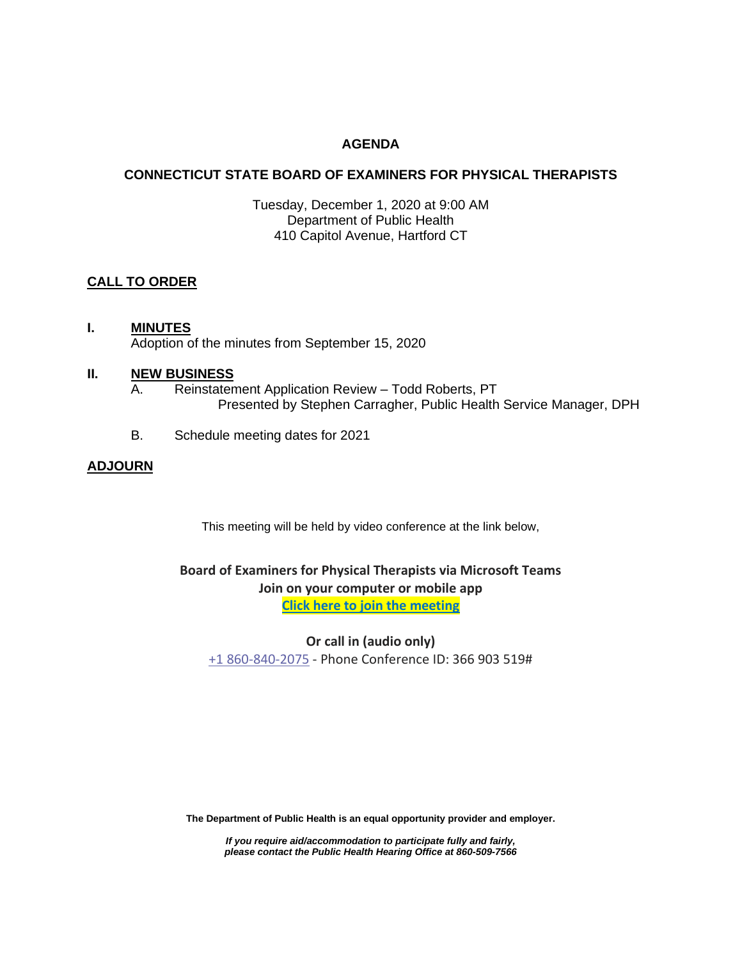## **AGENDA**

## **CONNECTICUT STATE BOARD OF EXAMINERS FOR PHYSICAL THERAPISTS**

Tuesday, December 1, 2020 at 9:00 AM Department of Public Health 410 Capitol Avenue, Hartford CT

## **CALL TO ORDER**

### **I. MINUTES** Adoption of the minutes from September 15, 2020

### **II. NEW BUSINESS**

- A. Reinstatement Application Review Todd Roberts, PT Presented by Stephen Carragher, Public Health Service Manager, DPH
- B. Schedule meeting dates for 2021

## **ADJOURN**

This meeting will be held by video conference at the link below,

# **Board of Examiners for Physical Therapists via Microsoft Teams Join on your computer or mobile app**

**[Click here to join the meeting](https://teams.microsoft.com/l/meetup-join/19%3ameeting_Y2EyMDU5Y2QtMjM5Zi00MWY2LTg0ZTktZTVmZmU4NDQxYWQ1%40thread.v2/0?context=%7b%22Tid%22%3a%22118b7cfa-a3dd-48b9-b026-31ff69bb738b%22%2c%22Oid%22%3a%22735c43f2-4aee-4b5f-b05e-0c535078f579%22%7d)**

**Or call in (audio only)**

[+1 860-840-2075](tel:+18608402075,,366903519# ) - Phone Conference ID: 366 903 519#

**The Department of Public Health is an equal opportunity provider and employer.**

*If you require aid/accommodation to participate fully and fairly, please contact the Public Health Hearing Office at 860-509-7566*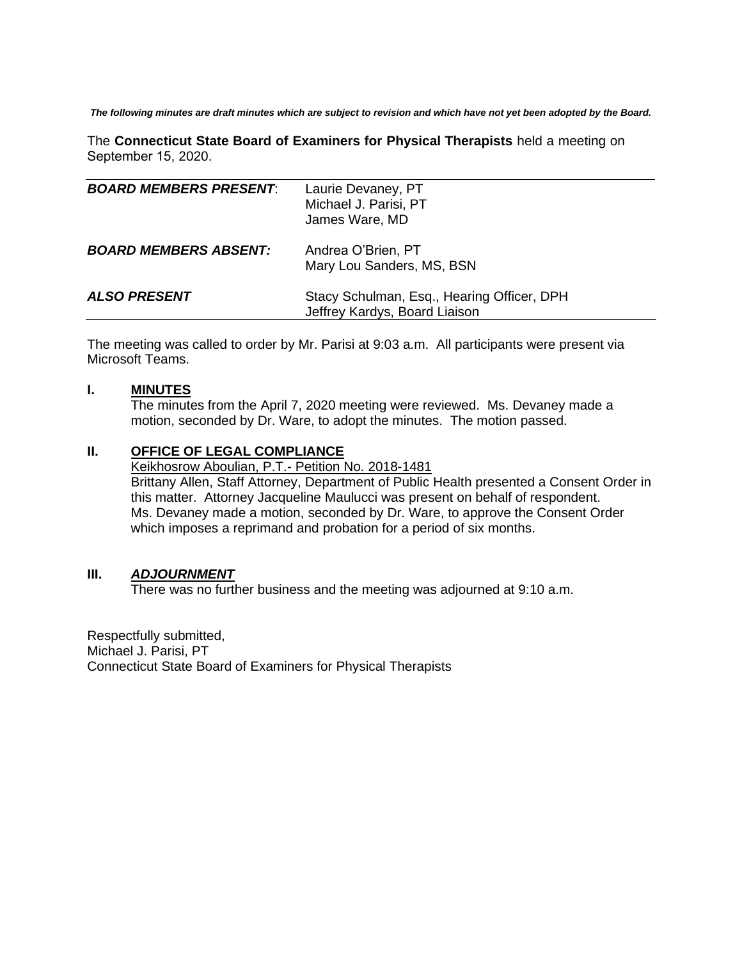*The following minutes are draft minutes which are subject to revision and which have not yet been adopted by the Board.*

The **Connecticut State Board of Examiners for Physical Therapists** held a meeting on September 15, 2020.

| <b>BOARD MEMBERS PRESENT:</b> | Laurie Devaney, PT<br>Michael J. Parisi, PT<br>James Ware, MD               |
|-------------------------------|-----------------------------------------------------------------------------|
| <b>BOARD MEMBERS ABSENT:</b>  | Andrea O'Brien, PT<br>Mary Lou Sanders, MS, BSN                             |
| <b>ALSO PRESENT</b>           | Stacy Schulman, Esq., Hearing Officer, DPH<br>Jeffrey Kardys, Board Liaison |

The meeting was called to order by Mr. Parisi at 9:03 a.m. All participants were present via Microsoft Teams.

#### **I. MINUTES**

The minutes from the April 7, 2020 meeting were reviewed. Ms. Devaney made a motion, seconded by Dr. Ware, to adopt the minutes. The motion passed.

#### **II. OFFICE OF LEGAL COMPLIANCE**

Keikhosrow Aboulian, P.T.- Petition No. 2018-1481 Brittany Allen, Staff Attorney, Department of Public Health presented a Consent Order in this matter. Attorney Jacqueline Maulucci was present on behalf of respondent. Ms. Devaney made a motion, seconded by Dr. Ware, to approve the Consent Order which imposes a reprimand and probation for a period of six months.

## **III.** *ADJOURNMENT*

There was no further business and the meeting was adjourned at 9:10 a.m.

Respectfully submitted, Michael J. Parisi, PT Connecticut State Board of Examiners for Physical Therapists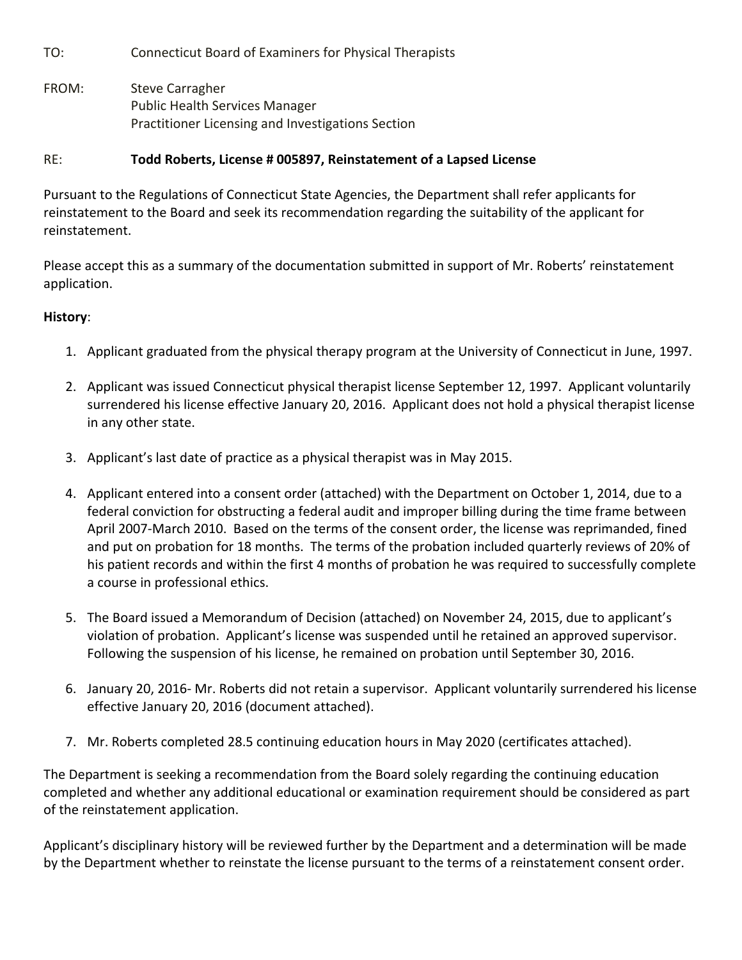TO: Connecticut Board of Examiners for Physical Therapists

FROM: Steve Carragher Public Health Services Manager Practitioner Licensing and Investigations Section

## RE: **Todd Roberts, License # 005897, Reinstatement of a Lapsed License**

Pursuant to the Regulations of Connecticut State Agencies, the Department shall refer applicants for reinstatement to the Board and seek its recommendation regarding the suitability of the applicant for reinstatement.

Please accept this as a summary of the documentation submitted in support of Mr. Roberts' reinstatement application.

## **History**:

- 1. Applicant graduated from the physical therapy program at the University of Connecticut in June, 1997.
- 2. Applicant was issued Connecticut physical therapist license September 12, 1997. Applicant voluntarily surrendered his license effective January 20, 2016. Applicant does not hold a physical therapist license in any other state.
- 3. Applicant's last date of practice as a physical therapist was in May 2015.
- 4. Applicant entered into a consent order (attached) with the Department on October 1, 2014, due to a federal conviction for obstructing a federal audit and improper billing during the time frame between April 2007‐March 2010. Based on the terms of the consent order, the license was reprimanded, fined and put on probation for 18 months. The terms of the probation included quarterly reviews of 20% of his patient records and within the first 4 months of probation he was required to successfully complete a course in professional ethics.
- 5. The Board issued a Memorandum of Decision (attached) on November 24, 2015, due to applicant's violation of probation. Applicant's license was suspended until he retained an approved supervisor. Following the suspension of his license, he remained on probation until September 30, 2016.
- 6. January 20, 2016‐ Mr. Roberts did not retain a supervisor. Applicant voluntarily surrendered his license effective January 20, 2016 (document attached).
- 7. Mr. Roberts completed 28.5 continuing education hours in May 2020 (certificates attached).

The Department is seeking a recommendation from the Board solely regarding the continuing education completed and whether any additional educational or examination requirement should be considered as part of the reinstatement application.

Applicant's disciplinary history will be reviewed further by the Department and a determination will be made by the Department whether to reinstate the license pursuant to the terms of a reinstatement consent order.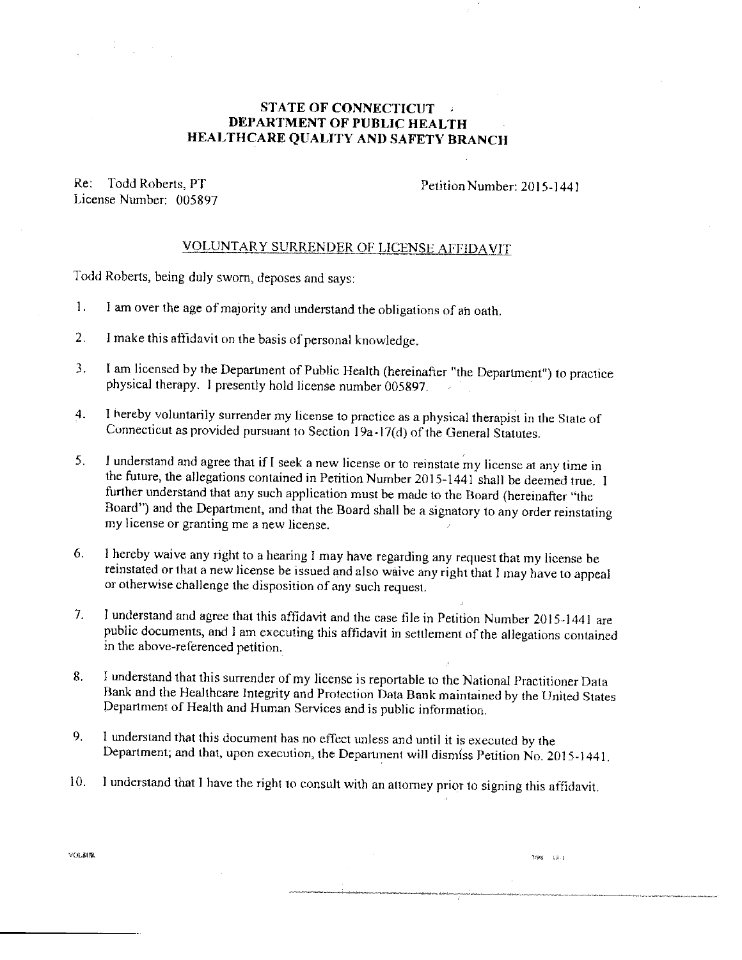## **STATE OF CONNECTICUT** DEPARTMENT OF PUBLIC HEALTH HEALTHCARE QUALITY AND SAFETY BRANCH

Re: Todd Roberts, PT License Number: 005897

Petition Number: 2015-1441

 $7/98 = 13.1$ 

## VOLUNTARY SURRENDER OF LICENSE AFFIDAVIT

Todd Roberts, being duly sworn, deposes and says:

- $\mathbf{1}$ . I am over the age of majority and understand the obligations of an oath.
- $2<sub>1</sub>$ I make this affidavit on the basis of personal knowledge.
- I am licensed by the Department of Public Health (hereinafter "the Department") to practice  $\overline{3}$ . physical therapy. I presently hold license number 005897.
- I hereby voluntarily surrender my license to practice as a physical therapist in the State of  $4.$ Connecticut as provided pursuant to Section 19a-17(d) of the General Statutes.
- $5<sub>1</sub>$ I understand and agree that if I seek a new license or to reinstate my license at any time in the future, the allegations contained in Petition Number 2015-1441 shall be deemed true. I further understand that any such application must be made to the Board (hereinafter "the Board") and the Department, and that the Board shall be a signatory to any order reinstating my license or granting me a new license.
- 6. I hereby waive any right to a hearing I may have regarding any request that my license be reinstated or that a new license be issued and also waive any right that I may have to appeal or otherwise challenge the disposition of any such request.
- $7<sub>1</sub>$ I understand and agree that this affidavit and the case file in Petition Number 2015-1441 are public documents, and I am executing this affidavit in settlement of the allegations contained in the above-referenced petition.
- I understand that this surrender of my license is reportable to the National Practitioner Data 8. Bank and the Healthcare Integrity and Protection Data Bank maintained by the United States Department of Health and Human Services and is public information.
- 9. I understand that this document has no effect unless and until it is executed by the Department; and that, upon execution, the Department will dismiss Petition No. 2015-1441.
- I understand that I have the right to consult with an attorney prior to signing this affidavit.  $10.$

VOLSUR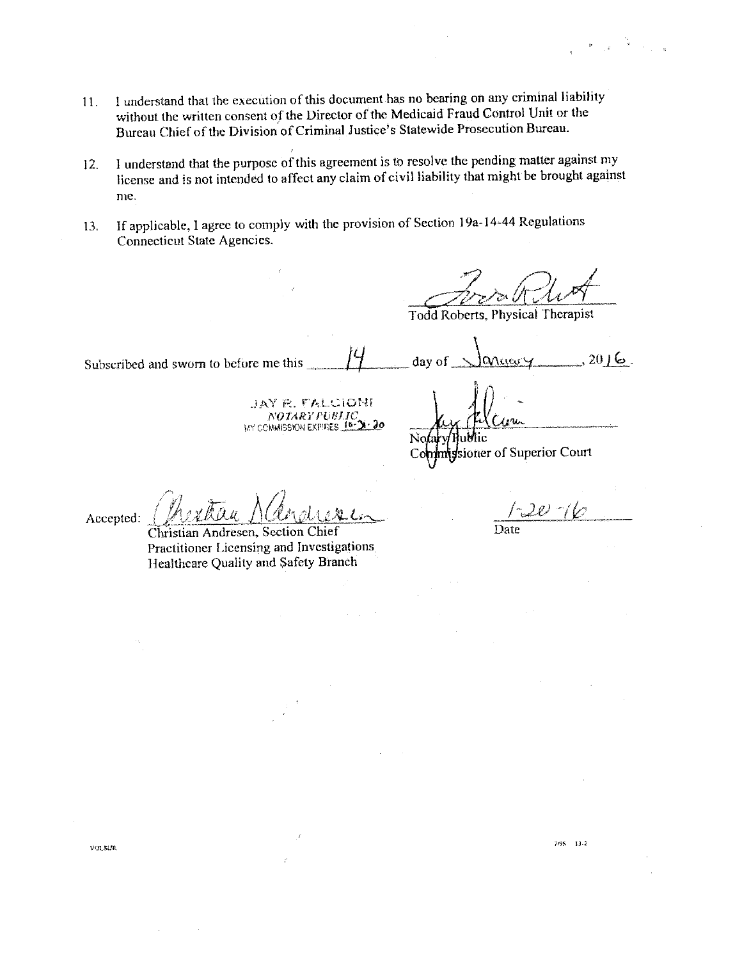$2016$ .

- I understand that the execution of this document has no bearing on any criminal liability 11. without the written consent of the Director of the Medicaid Fraud Control Unit or the Bureau Chief of the Division of Criminal Justice's Statewide Prosecution Bureau.
- I understand that the purpose of this agreement is to resolve the pending matter against my 12. license and is not intended to affect any claim of civil liability that might be brought against me.
- If applicable, I agree to comply with the provision of Section 19a-14-44 Regulations 13. Connecticut State Agencies.

Todd Roberts, Physical Therapist

day of

Subscribed and sworn to before me this

jay r. falcioni NOTARY PUBLIC, COMMISSION EXPIRES 16-31-20

ssioner of Superior Court

racon

Accepted:

Christian Andresen, Section Chief Practitioner Licensing and Investigations Healthcare Quality and Safety Branch

Date

-20 -1

 $7/98$  13-2

**VOLSUR**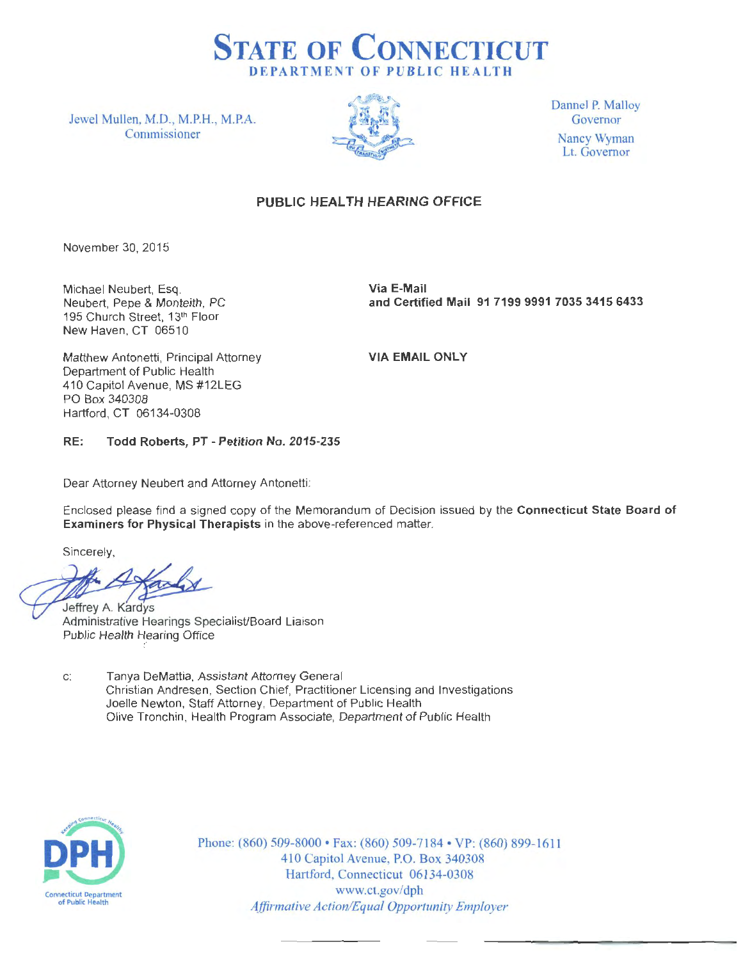

Jewel Mullen, M.D., M.P.H., M.P.A. Commissioner



Dannel P. Malloy Governor Nancy Wyman Lt. Governor

## **PUBLIC HEAL TH HEARING OFFICE**

November 30, 2015

Michael Neubert, Esq. Neubert, Pepe & Monteith, PC 195 Church Street, 13th Floor New Haven, CT 06510

**Via E-Mail and Certified Mail 91 7199 9991 7035 3415 6433** 

Matthew Antonetti, Principal Attorney Department of Public Health 410 Capitol Avenue, MS #12LEG PO Box 340308 Hartford, CT 06134-0308

**VIA EMAIL ONLY** 

## **RE: Todd Roberts, PT - Petition No. 2015-235**

Dear Attorney Neubert and Attorney Antonetti:

Enclosed please find a signed copy of the Memorandum of Decision issued by the **Connecticut State Board of Examiners for Physical Therapists** in the above-referenced matter.

Sincerely,

Jeffrey A. Kardys Administrative Hearings Specialist/Board Liaison Public Health Hearing Office

c: Tanya DeMattia, Assistant Attorney General Christian Andresen, Section Chief, Practitioner Licensing and Investigations Joelle Newton, Staff Attorney, Department of Public Health Olive Tronchin, Health Program Associate, Department of Public Health



Phone: (860) 509-8000 • Fax: (860) 509-7184 • VP: (860) 899-1611 410 Capitol Avenue, P.O. Box 340308 Hartford, Connecticut 06134-0308 www.ct.gov/dph *Affirmative Action/Equal Opportunity Employer*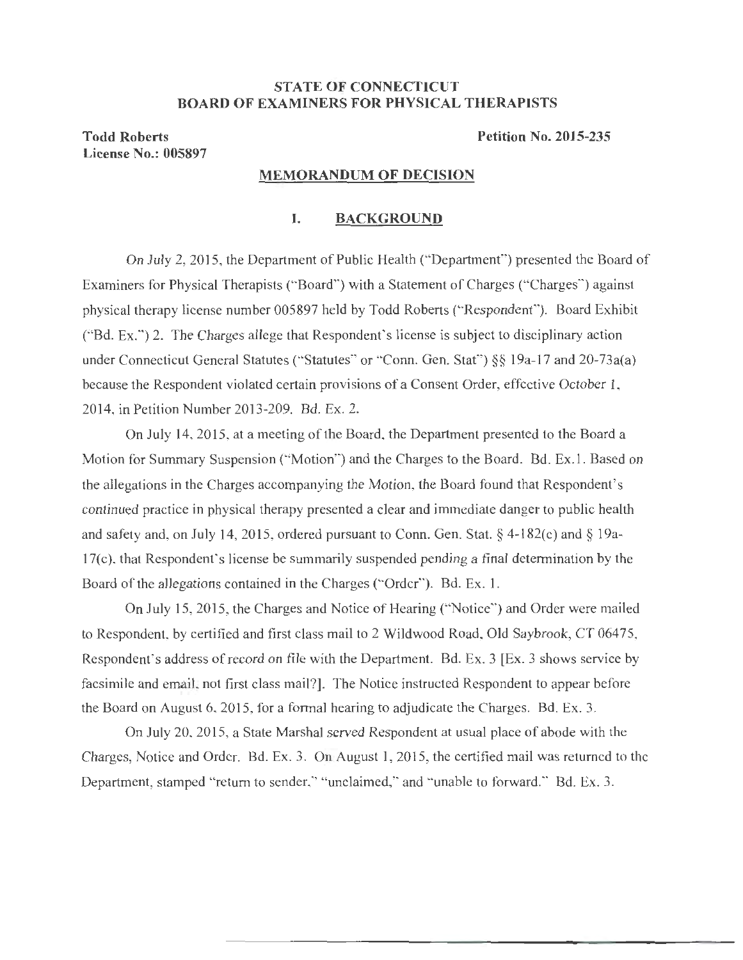## **STATE OF CONNECTICUT BOARD OF EXAMINERS FOR PHYSICAL THERAPISTS**

**Todd Roberts License No.: 005897**  **Petition No. 2015-235** 

#### **MEMORANDUM OF DECISION**

#### **I. BACKGROUND**

On July 2, 2015, the Department of Public Health ("Department") presented the Board of Examiners for Physical Therapists ("Board") with a Statement of Charges ("Charges'') against physical therapy license number 005897 held by Todd Roberts ('·Respondent"). Board Exhibit ("Bd. Ex.") 2. The Charges allege that Respondent's license is subject to disciplinary action under Connecticut General Statutes ("Statutes" or "Conn. Gen. Stat") §§ 19a-17 and 20-73a(a) because the Respondent violated certain provisions of a Consent Order, effective October 1, 2014, in Petition Number 2013-209. Bd. Ex. 2.

On July 14, 2015, at a meeting of the Board, the Department presented to the Board a Motion for Summary Suspension ("Motion") and the Charges to the Board. Bd. Ex. I. Based on the allegations in the Charges accompanying the Motion, the Board found that Respondent's continued practice in physical therapy presented a clear and immediate danger to public health and safety and, on July 14, 2015, ordered pursuant to Conn. Gen. Stat.§ 4-l 82(c) and§ 19a-17(c), that Respondent's license be summarily suspended pending a final determination by the Board of the allegations contained in the Charges ("Order"). Bd. Ex. 1.

On July 15, 2015, the Charges and Notice of Hearing ("Notice") and Order were mailed to Respondent, by certified and first class mail to 2 Wildwood Road, Old Saybrook, CT 06475, Respondent's address of record on file with the Department. Bd. Ex. 3 [Ex. 3 shows service by facsimile and email, not first class mail?]. The Notice instructed Respondent to appear before the Board on August 6, 2015, for a formal hearing to adjudicate the Charges. Bd. Ex. 3.

On July 20, 2015, a State Marshal served Respondent at usual place of abode with the Charges, Notice and Order. Bd. Ex. 3. On August 1, 2015, the certified mail was returned to the Department, stamped "return to sender," "unclaimed," and "unable to forward." Bd. Ex. 3.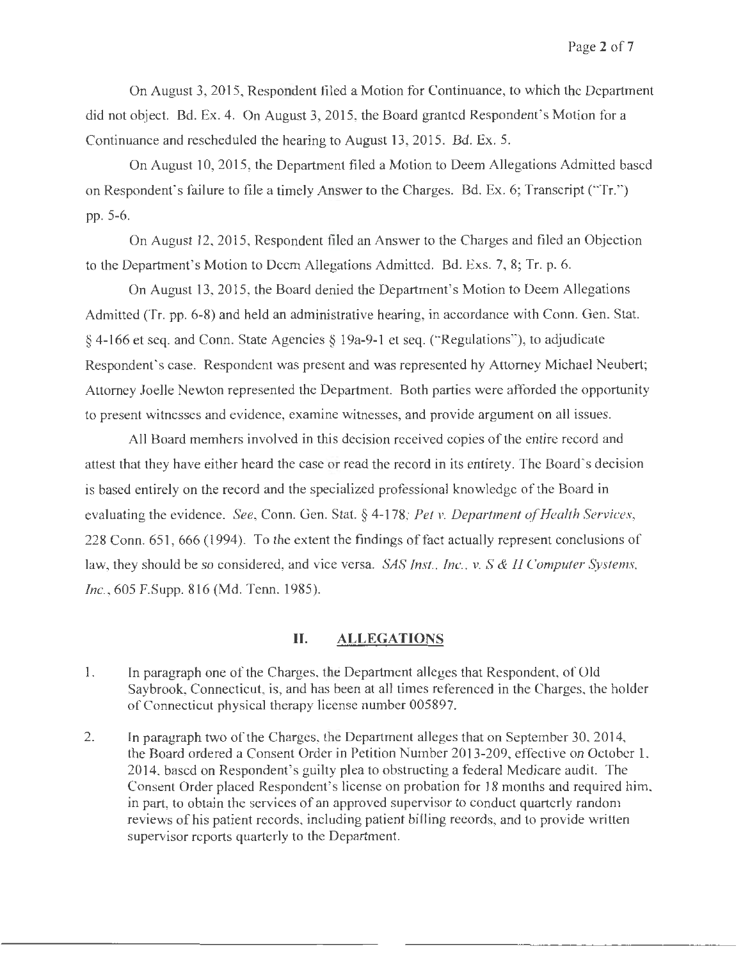On August 3, 2015, Respondent filed a Motion for Continuance, to which the Department did not object. Bd. Ex. 4. On August 3, 2015, the Board granted Respondent's Motion for a Continuance and rescheduled the hearing to August 13, 2015. Bd. Ex. 5.

On August 10, 2015, the Department filed a Motion to Deem Allegations Admitted based on Respondent's failure to file a timely Answer to the Charges. Bd. Ex. 6; Transcript ("Tr.") pp. 5-6.

On August 12, 2015, Respondent filed an Answer to the Charges and filed an Objection to the Department's Motion to Deem Allegations Admitted. Bd. Exs. 7, 8; Tr. p. 6.

On August 13, 2015, the Board denied the Department's Motion to Deem Allegations Admitted (Tr. pp. 6-8) and held an administrative hearing, in accordance with Conn. Gen. Stat. § 4-166 et seq. and Conn. State Agencies§ I 9a-9-1 et seq. ("Regulations"), to adjudicate Respondent's case. Respondent was present and was represented by Attorney Michael Neubert; Attorney Joelle Newton represented the Department. Both parties were afforded the opportunity to present witnesses and evidence, examine witnesses, and provide argument on all issues.

Al I Board members involved in this decision received copies of the entire record and attest that they have either heard the case or read the record in its entirety. The Board's decision is based entirely on the record and the specialized professional knowledge of the Board in evaluating the evidence. *See,* Conn. Gen. Stat. § 4-178; *Pel v. Department of Health Services,*  228 Conn. 651, 666 (1994). To the extent the findings of fact actually represent conclusions of law, they should be so considered, and vice versa. *SAS Inst., Inc., v. S* & *H Computer Systems, Inc.,* 605 F.Supp. 816 (Md. Tenn. 1985).

#### **II. ALLEGATIONS**

- I. In paragraph one of the Charges, the Department alleges that Respondent, of Old Saybrook, Connecticut, is, and has been at all times referenced in the Charges, the holder of Connecticut physical therapy license number 005897.
- 2. In paragraph two of the Charges, the Department alleges that on September 30, 2014, the Board ordered a Consent Order in Petition Number 2013-209, effective on October 1, 2014, based on Respondent's guilty plea to obstructing a federal Medicare audit. The Consent Order placed Respondent's license on probation for 18 months and required him, in part, to obtain the services of an approved supervisor to conduct quarterly random reviews of his patient records, including patient billing records, and to provide written supervisor reports quarterly to the Department.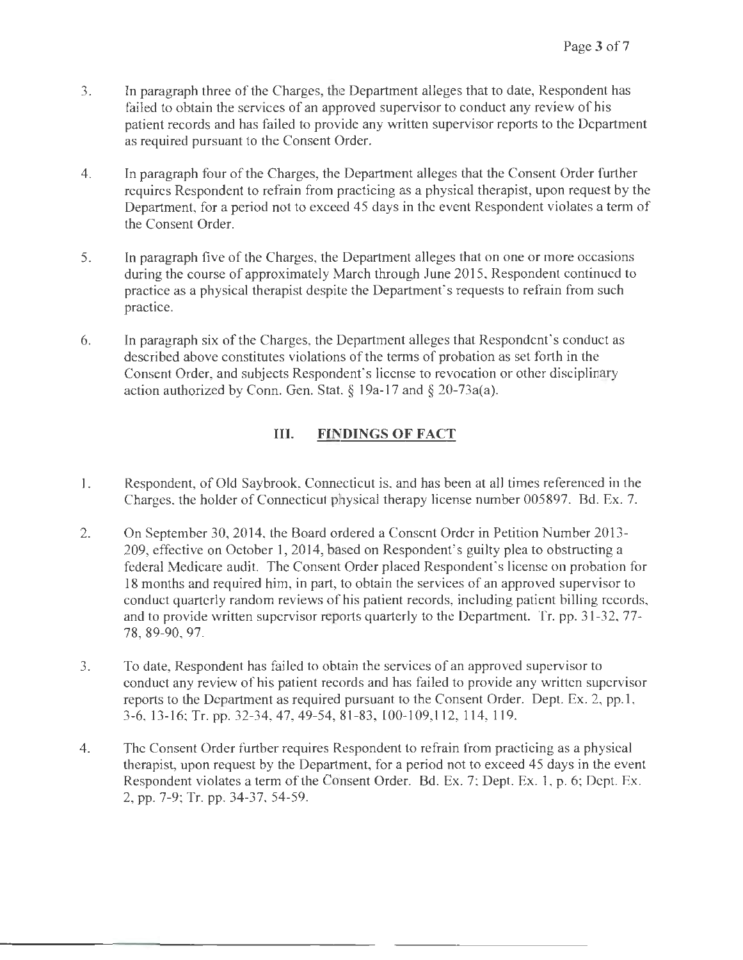- 3. In paragraph three of the Charges, the Department alleges that to date, Respondent has failed to obtain the services of an approved supervisor to conduct any review of his patient records and has failed to provide any written supervisor reports to the Department as required pursuant to the Consent Order.
- 4. In paragraph four of the Charges, the Department alleges that the Consent Order further requires Respondent to refrain from practicing as a physical therapist, upon request by the Department, for a period not to exceed 45 days in the event Respondent violates a term of the Consent Order.
- 5. In paragraph five of the Charges, the Department alleges that on one or more occasions during the course of approximately March through June 2015, Respondent continued to practice as a physical therapist despite the Department's requests to refrain from such practice.
- 6. In paragraph six of the Charges, the Department alleges that Respondent's conduct as described above constitutes violations of the terms of probation as set forth in the Consent Order, and subjects Respondent's license to revocation or other disciplinary action authorized by Conn. Gen. Stat. § 19a-17 and § 20-73a(a).

# **Ill. FINDINGS OF FACT**

- I. Respondent, of Old Saybrook, Connecticut is, and has been at all times referenced in the Charges, the holder of Connecticut physical therapy license number 005897. Bd. Ex. 7.
- 2. On September 30, 2014, the Board ordered a Consent Order in Petition Number 2013- 209, effective on October **1,** 2014, based on Respondent's guilty plea to obstructing a federal Medicare audit. The Consent Order placed Respondent's license on probation for 18 months and required him, in part, to obtain the services of an approved supervisor to conduct quarterly random reviews of his patient records, including patient billing records, and to provide written supervisor reports quarterly to the Department. Tr. pp. 31-32, 77- 78, 89-90, 97.
- 3. To date, Respondent has failed to obtain the services of an approved supervisor to conduct any review of his patient records and has failed to provide any written supervisor reports to the Department as required pursuant to the Consent Order. Dept. Ex. 2, pp.1, 3-6, 13-16; Tr. pp. 32-34, 47, 49-54, 81-83, 100-109, 112, 114, 119.
- 4. The Consent Order further requires Respondent to refrain from practicing as a physical therapist, upon request by the Department, for a period not to exceed 45 days in the event Respondent violates a term of the Consent Order. Bd. Ex. 7; Dept. Ex. 1, p. 6; Dept. Ex. 2, pp. 7-9; Tr. pp. 34-37, 54-59.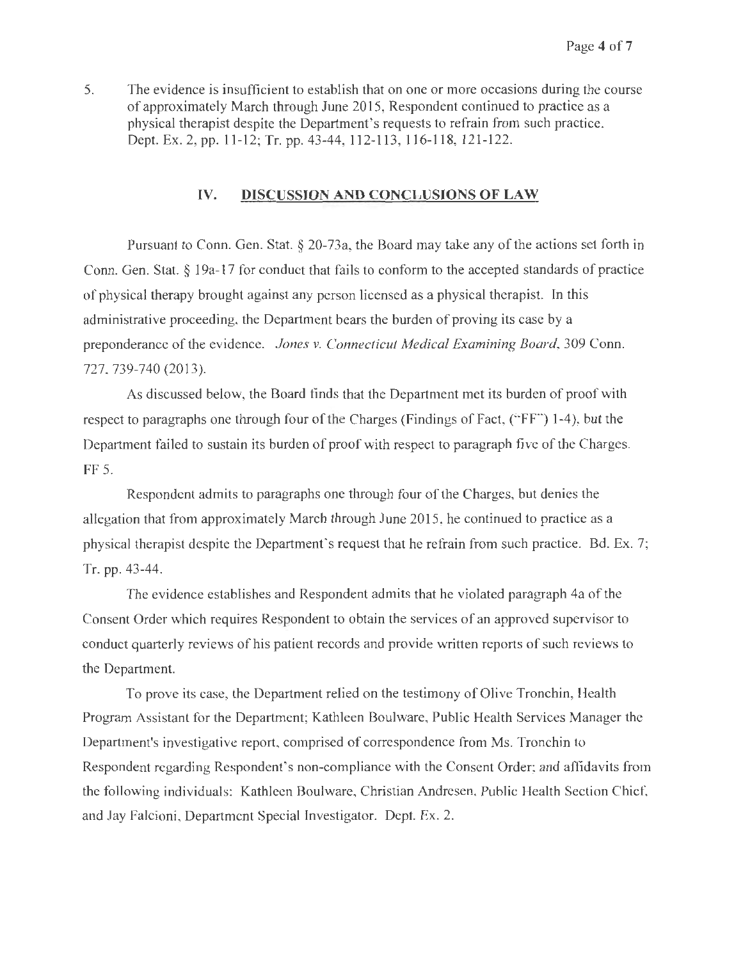5. The evidence is insufficient to establish that on one or more occasions during the course of approximately March through June 2015, Respondent continued to practice as a physical therapist despite the Department's requests to refrain from such practice. Dept. Ex. 2, pp. 11-12; Tr. pp. 43-44, 112-113, 116-118, 121-122.

## **IV. DISCUSSION AND CONCLUSIONS OF LAW**

Pursuant to Conn. Gen. Stat. § 20-73a, the Board may take any of the actions set forth in Conn. Gen. Stat. § 19a-17 for conduct that fails to conform to the accepted standards of practice of physical therapy brought against any person licensed as a physical therapist. Jn this administrative proceeding, the Department bears the burden of proving its case by a preponderance of the evidence. *Jones v. Connecticut Medical Examining Board,* 309 Conn. 727, 739-740 (2013).

As discussed below, the Board finds that the Department met its burden of proof with respect to paragraphs one through four of the Charges (Findings of Fact, ("FF") 1-4 ), but the Department failed to sustain its burden of proof with respect to paragraph five of the Charges. FF 5.

Respondent admits to paragraphs one through four of the Charges, but denies the allegation that from approximately March through June 2015, he continued to practice as a physical therapist despite the Department's request that he refrain from such practice. Bd. Ex. 7; Tr. pp. 43-44.

The evidence establishes and Respondent admits that he violated paragraph 4a of the Consent Order which requires Respondent to obtain the services of an approved supervisor to conduct quarterly reviews of his patient records and provide written reports of such reviews to the Department.

To prove its case, the Department relied on the testimony of Olive Tronchin, Health Program Assistant for the Department; Kathleen Boulware, Public Health Services Manager the Department's investigative report, comprised of correspondence from Ms. Tronchin to Respondent regarding Respondent's non-compliance with the Consent Order; and affidavits from the following individuals: Kathleen Boulware, Christian Andresen, Public Health Section Chief, and Jay Falcioni, Department Special Investigator. Dept. Ex. 2.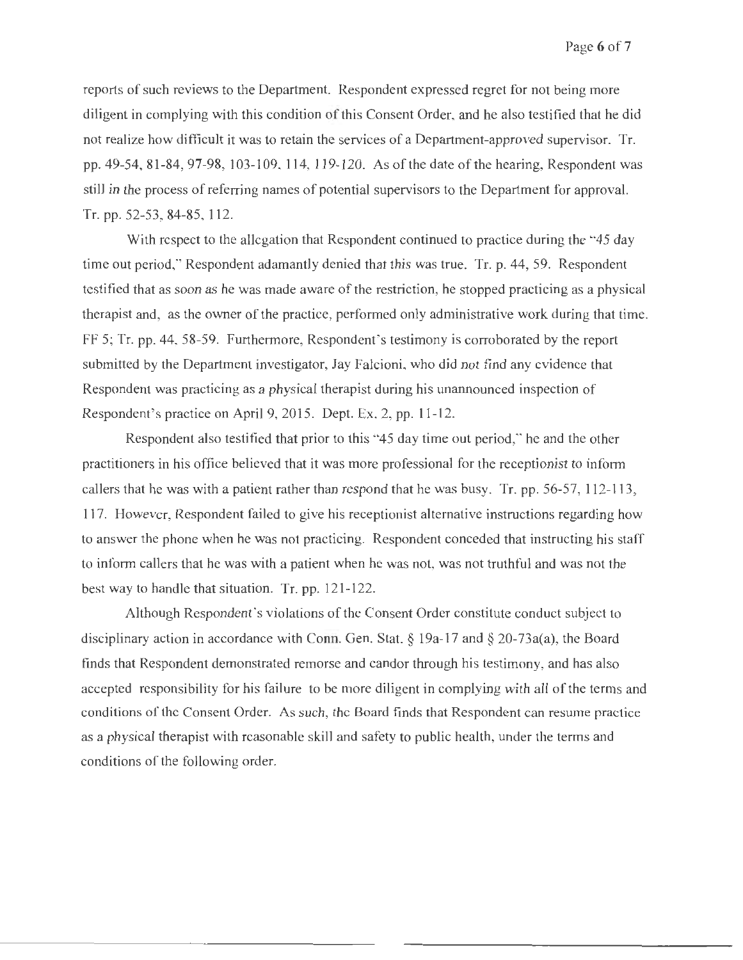reports of such reviews to the Department. Respondent expressed regret for not being more diligent in complying with this condition of this Consent Order, and he also testified that he did not realize how difficult it was to retain the services of a Department-approved supervisor. Tr. pp. 49-54, 81-84, 97-98, 103-109, 114, 119-120. As of the date of the hearing, Respondent was still in the process of referring names of potential supervisors to the Department for approval. Tr. pp. 52-53, 84-85, 112.

With respect to the allegation that Respondent continued to practice during the "45 day" time out period," Respondent adamantly denied that this was true. Tr. p. 44, 59. Respondent testified that as soon as he was made aware of the restriction, he stopped practicing as a physical therapist and, as the owner of the practice, performed only administrative work during that time. FF 5; Tr. pp. 44, 58-59. Furthermore, Respondent's testimony is corroborated by the report submitted by the Department investigator, Jay Falcioni, who did not find any evidence that Respondent was practicing as a physical therapist during his unannounced inspection of Respondent's practice on April 9, 2015. Dept. Ex. 2, pp. 11-12.

Respondent also testified that prior to this "45 day time out period," he and the other practitioners in his office believed that it was more professional for the receptionist to infonn callers that he was with a patient rather than respond that he was busy. Tr. pp. 56-57, 112-113, 117. However, Respondent failed to give his receptionist alternative instructions regarding how to answer the phone when he was not practicing. Respondent conceded that instructing his staff to inform callers that he was with a patient when he was not, was not truthful and was not the best way to handle that situation. Tr. pp. 121-122.

Although Respondent's violations of the Consent Order constitute conduct subject to disciplinary action in accordance with Conn. Gen. Stat.  $\S$  19a-17 and  $\S$  20-73a(a), the Board finds that Respondent demonstrated remorse and candor through his testimony, and has also accepted responsibility for his failure to be more diligent in complying with all of the terms and conditions of the Consent Order. As such, the Board finds that Respondent can resume practice as a physical therapist with reasonable skill and safety to public health, under the terms and conditions of the following order.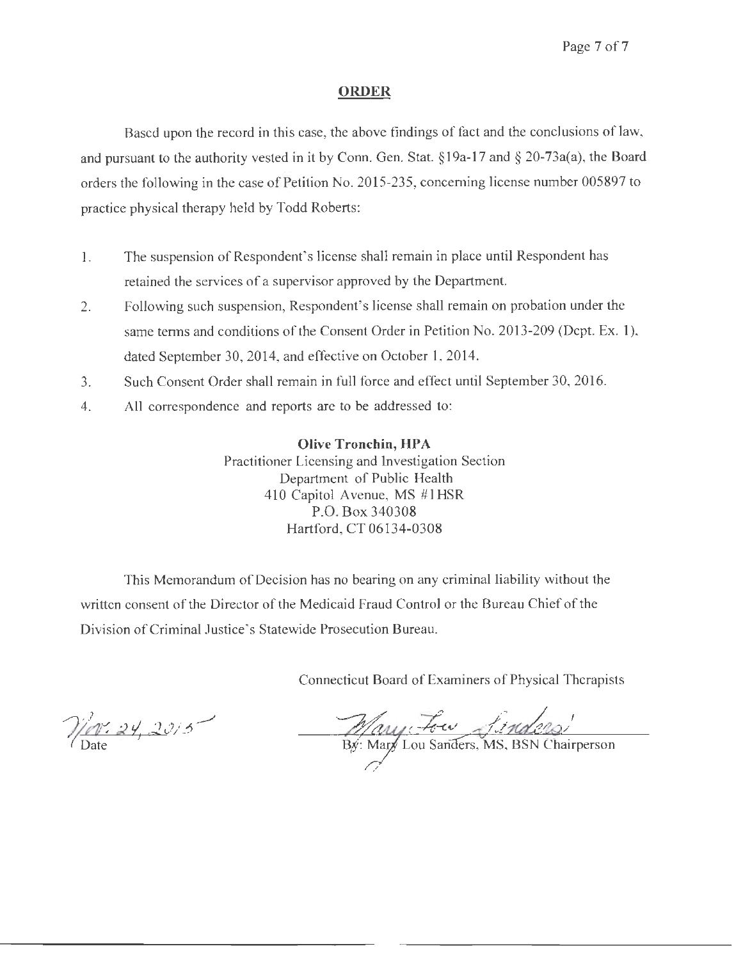## **ORDER**

Based upon the record in this case, the above findings of fact and the conclusions of law, and pursuant to the authority vested in it by Conn. Gen. Stat. § 19a-17 and § 20-73a(a), the Board orders the following in the case of Petition No. 2015-235, concerning license number 005897 to practice physical therapy held by Todd Roberts:

- I. The suspension of Respondent's license shall remain in place until Respondent has retained the services of a supervisor approved by the Department.
- 2. Following such suspension, Respondent's license shall remain on probation under the same terms and conditions of the Consent Order in Petition No. 2013-209 (Dept. Ex. 1), dated September 30, 2014, and effective on October 1, 2014.
- 3. Such Consent Order shall remain in full force and effect until September 30, 2016.
- 4. All correspondence and reports are to be addressed to:

**Olive Tronchin, HPA** Practitioner Licensing and Investigation Section Department of Public Health 410 Capitol Avenue, MS #1HSR P.O. Box 340308 Hartford, CT 06134-0308

This Memorandum of Decision has no bearing on any criminal liability without the written consent of the Director of the Medicaid Fraud Control or the Bureau Chief of the Division of Criminal Justice's Statewide Prosecution Bureau.

Connecticut Board of Examiners of Physical Therapists

Nev. 24, 2015

Mary Four frances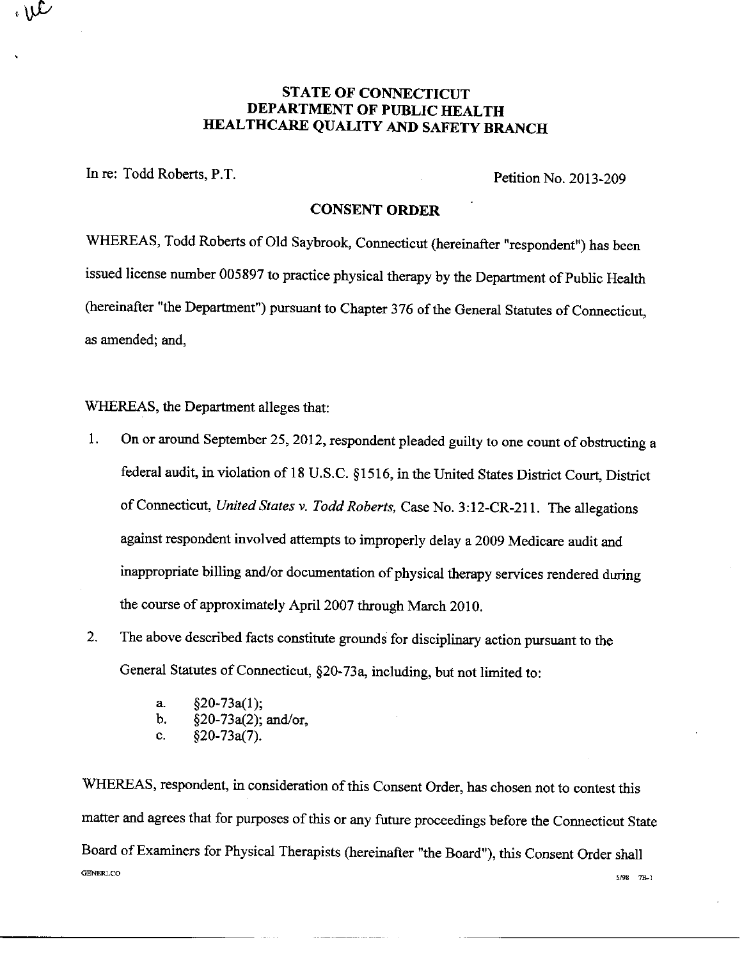## **STATE OF CONNECTICUT** DEPARTMENT OF PUBLIC HEALTH HEALTHCARE QUALITY AND SAFETY BRANCH

In re: Todd Roberts, P.T.

 $\mathcal{M}$ 

Petition No. 2013-209

### **CONSENT ORDER**

WHEREAS, Todd Roberts of Old Saybrook, Connecticut (hereinafter "respondent") has been issued license number 005897 to practice physical therapy by the Department of Public Health (hereinafter "the Department") pursuant to Chapter 376 of the General Statutes of Connecticut, as amended; and,

## WHEREAS, the Department alleges that:

- On or around September 25, 2012, respondent pleaded guilty to one count of obstructing a 1. federal audit, in violation of 18 U.S.C. §1516, in the United States District Court, District of Connecticut, United States v. Todd Roberts, Case No. 3:12-CR-211. The allegations against respondent involved attempts to improperly delay a 2009 Medicare audit and inappropriate billing and/or documentation of physical therapy services rendered during the course of approximately April 2007 through March 2010.
- $2.$ The above described facts constitute grounds for disciplinary action pursuant to the General Statutes of Connecticut, §20-73a, including, but not limited to:
	- $§20-73a(1);$ a.
	- b.  $\S20-73a(2)$ ; and/or,
	- $§20-73a(7)$ . c.

WHEREAS, respondent, in consideration of this Consent Order, has chosen not to contest this matter and agrees that for purposes of this or any future proceedings before the Connecticut State Board of Examiners for Physical Therapists (hereinafter "the Board"), this Consent Order shall **GENERLCO** 5/98 7B-1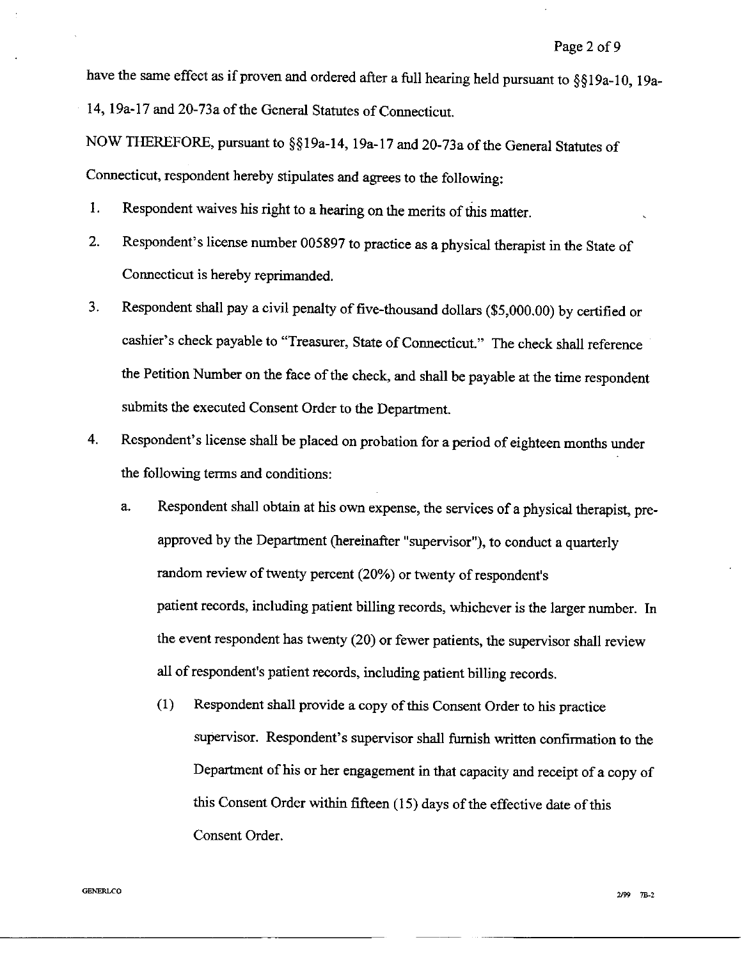have the same effect as if proven and ordered after a full hearing held pursuant to §§19a-10, 19a-14, 19a-17 and 20-73a of the General Statutes of Connecticut.

NOW THEREFORE, pursuant to §§19a-14, 19a-17 and 20-73a of the General Statutes of Connecticut, respondent hereby stipulates and agrees to the following:

- 1. Respondent waives his right to a hearing on the merits of this matter.
- Respondent's license number 005897 to practice as a physical therapist in the State of  $2.$ Connecticut is hereby reprimanded.
- Respondent shall pay a civil penalty of five-thousand dollars (\$5,000.00) by certified or 3. cashier's check payable to "Treasurer, State of Connecticut." The check shall reference the Petition Number on the face of the check, and shall be payable at the time respondent submits the executed Consent Order to the Department.
- 4. Respondent's license shall be placed on probation for a period of eighteen months under the following terms and conditions:
	- Respondent shall obtain at his own expense, the services of a physical therapist, prea. approved by the Department (hereinafter "supervisor"), to conduct a quarterly random review of twenty percent (20%) or twenty of respondent's patient records, including patient billing records, whichever is the larger number. In the event respondent has twenty (20) or fewer patients, the supervisor shall review all of respondent's patient records, including patient billing records.
		- $(1)$ Respondent shall provide a copy of this Consent Order to his practice supervisor. Respondent's supervisor shall furnish written confirmation to the Department of his or her engagement in that capacity and receipt of a copy of this Consent Order within fifteen (15) days of the effective date of this Consent Order.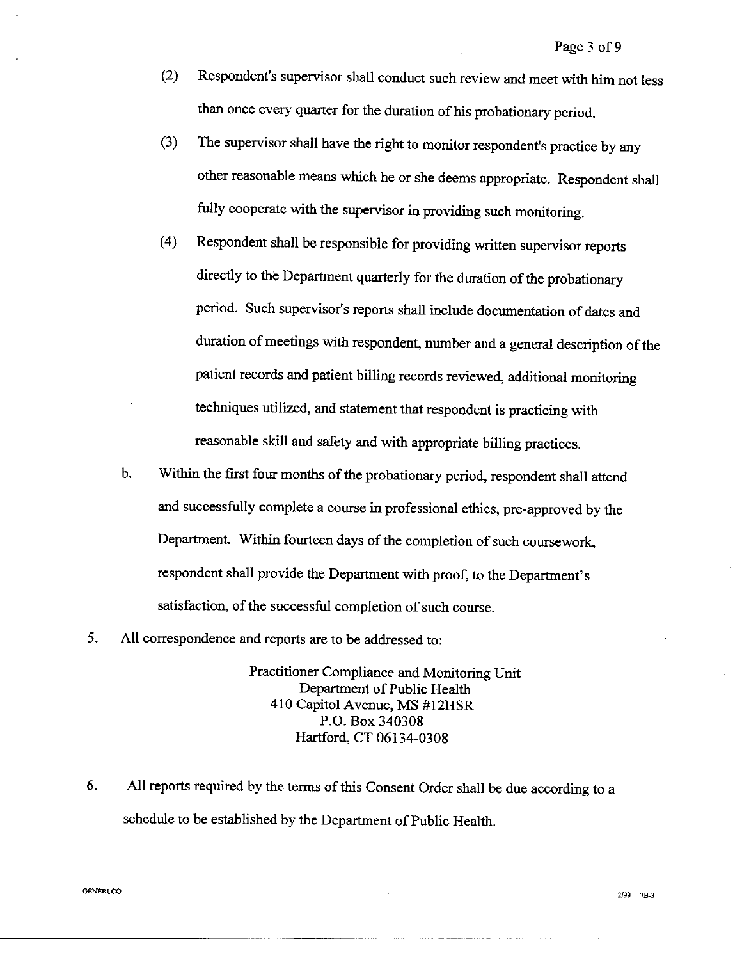- $(2)$ Respondent's supervisor shall conduct such review and meet with him not less than once every quarter for the duration of his probationary period.
- $(3)$ The supervisor shall have the right to monitor respondent's practice by any other reasonable means which he or she deems appropriate. Respondent shall fully cooperate with the supervisor in providing such monitoring.
- $(4)$ Respondent shall be responsible for providing written supervisor reports directly to the Department quarterly for the duration of the probationary period. Such supervisor's reports shall include documentation of dates and duration of meetings with respondent, number and a general description of the patient records and patient billing records reviewed, additional monitoring techniques utilized, and statement that respondent is practicing with reasonable skill and safety and with appropriate billing practices.
- $\mathbf b$ . Within the first four months of the probationary period, respondent shall attend and successfully complete a course in professional ethics, pre-approved by the Department. Within fourteen days of the completion of such coursework, respondent shall provide the Department with proof, to the Department's satisfaction, of the successful completion of such course.
- 5. All correspondence and reports are to be addressed to:

Practitioner Compliance and Monitoring Unit Department of Public Health 410 Capitol Avenue, MS #12HSR P.O. Box 340308 Hartford, CT 06134-0308

All reports required by the terms of this Consent Order shall be due according to a 6. schedule to be established by the Department of Public Health.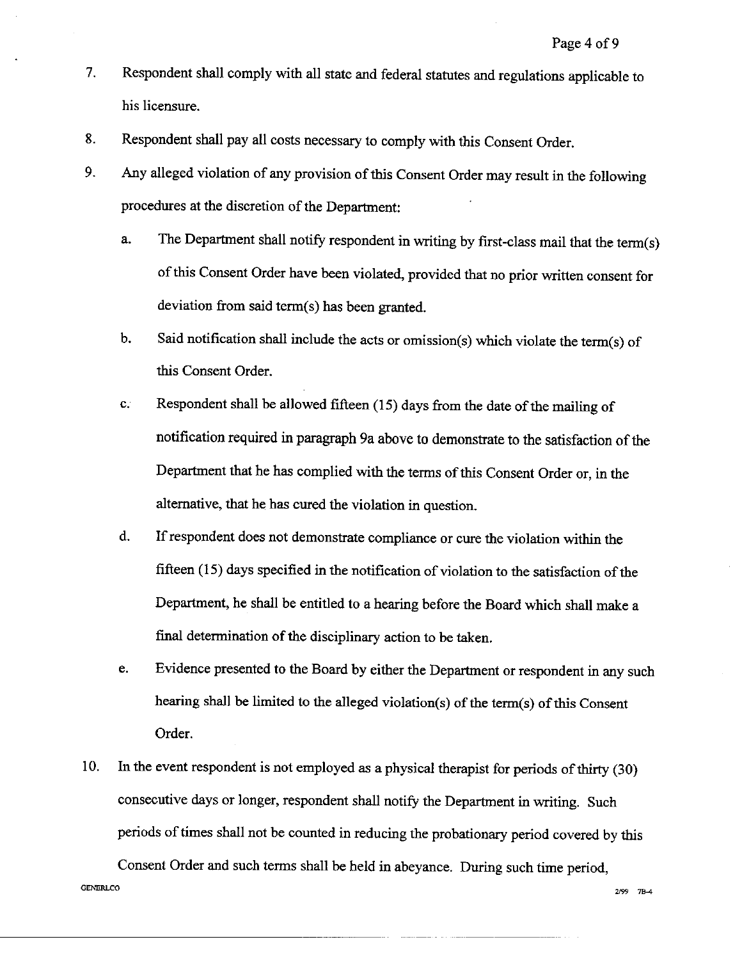- Respondent shall comply with all state and federal statutes and regulations applicable to  $7.$ his licensure.
- Respondent shall pay all costs necessary to comply with this Consent Order. 8.
- Any alleged violation of any provision of this Consent Order may result in the following  $9<sub>1</sub>$ procedures at the discretion of the Department:
	- a. The Department shall notify respondent in writing by first-class mail that the term(s) of this Consent Order have been violated, provided that no prior written consent for deviation from said term(s) has been granted.
	- Said notification shall include the acts or omission(s) which violate the term(s) of b. this Consent Order.
	- $\mathbf{C}$ . Respondent shall be allowed fifteen (15) days from the date of the mailing of notification required in paragraph 9a above to demonstrate to the satisfaction of the Department that he has complied with the terms of this Consent Order or, in the alternative, that he has cured the violation in question.
	- d. If respondent does not demonstrate compliance or cure the violation within the fifteen (15) days specified in the notification of violation to the satisfaction of the Department, he shall be entitled to a hearing before the Board which shall make a final determination of the disciplinary action to be taken.
	- e. Evidence presented to the Board by either the Department or respondent in any such hearing shall be limited to the alleged violation(s) of the term(s) of this Consent Order.
- In the event respondent is not employed as a physical therapist for periods of thirty (30) 10. consecutive days or longer, respondent shall notify the Department in writing. Such periods of times shall not be counted in reducing the probationary period covered by this

Consent Order and such terms shall be held in abeyance. During such time period, GENERLCO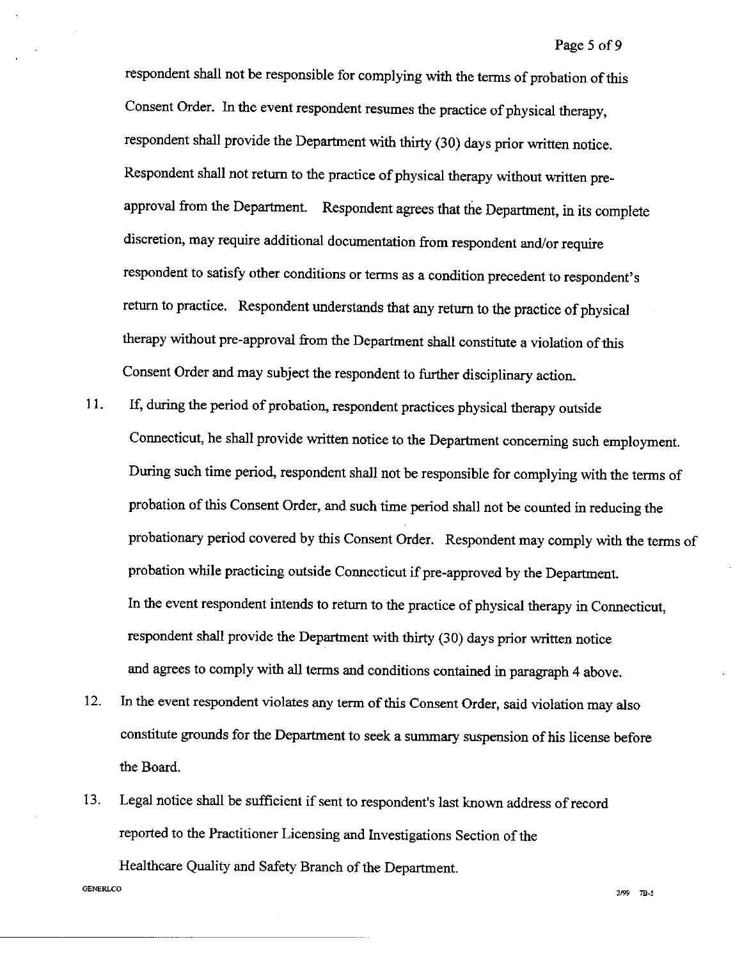respondent shall not be responsible for complying with the terms of probation of this Consent Order. In the event respondent resumes the practice of physical therapy, respondent shall provide the Department with thirty (30) days prior written notice. Respondent shall not return to the practice of physical therapy without written preapproval from the Department. Respondent agrees that the Department, in its complete discretion, may require additional documentation from respondent and/or require respondent to satisfy other conditions or terms as a condition precedent to respondent's return to practice. Respondent understands that any return to the practice of physical therapy without pre-approval from the Department shall constitute a violation of this Consent Order and may subject the respondent to further disciplinary action.

- 11. If, during the period of probation, respondent practices physical therapy outside Connecticut, he shall provide written notice to the Department concerning such employment. During such time period, respondent shall not be responsible for complying with the terms of probation of this Consent Order, and such time period shall not be counted in reducing the probationary period covered by this Consent Order. Respondent may comply with the terms of probation while practicing outside Connecticut if pre-approved by the Department. In the event respondent intends to return to the practice of physical therapy in Connecticut, respondent shall provide the Department with thirty (30) days prior written notice and agrees to comply with all terms and conditions contained in paragraph 4 above.
- $12.$ In the event respondent violates any term of this Consent Order, said violation may also constitute grounds for the Department to seek a summary suspension of his license before the Board.
- Legal notice shall be sufficient if sent to respondent's last known address of record 13. reported to the Practitioner Licensing and Investigations Section of the Healthcare Quality and Safety Branch of the Department.

**GENERLCO**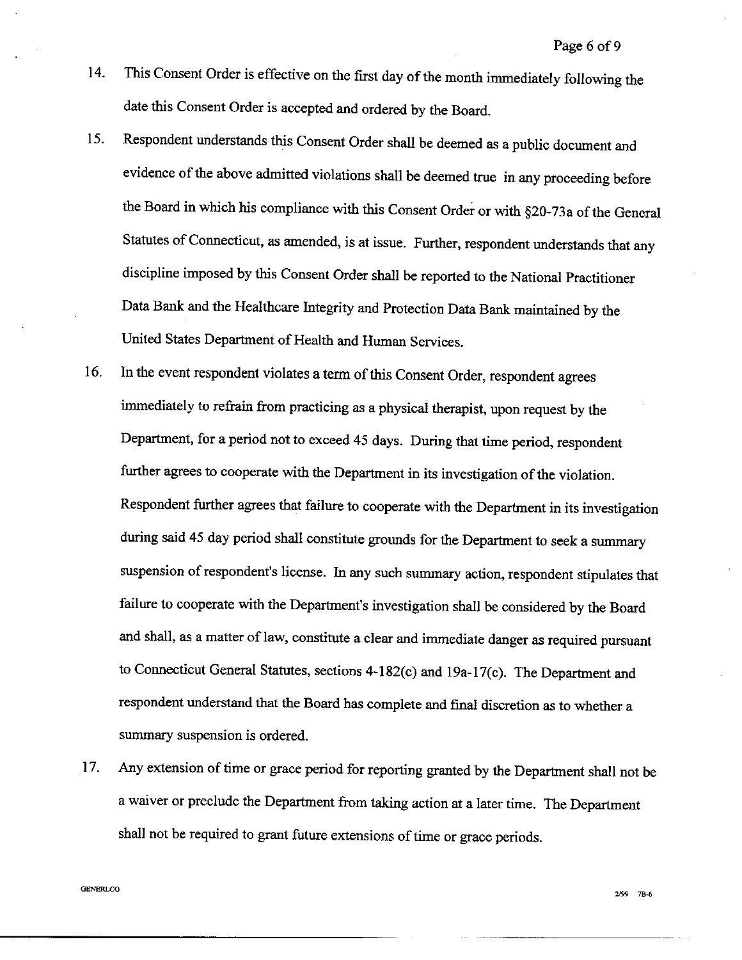- This Consent Order is effective on the first day of the month immediately following the 14. date this Consent Order is accepted and ordered by the Board.
- Respondent understands this Consent Order shall be deemed as a public document and 15. evidence of the above admitted violations shall be deemed true in any proceeding before the Board in which his compliance with this Consent Order or with §20-73a of the General Statutes of Connecticut, as amended, is at issue. Further, respondent understands that any discipline imposed by this Consent Order shall be reported to the National Practitioner Data Bank and the Healthcare Integrity and Protection Data Bank maintained by the United States Department of Health and Human Services.
- In the event respondent violates a term of this Consent Order, respondent agrees 16. immediately to refrain from practicing as a physical therapist, upon request by the Department, for a period not to exceed 45 days. During that time period, respondent further agrees to cooperate with the Department in its investigation of the violation. Respondent further agrees that failure to cooperate with the Department in its investigation during said 45 day period shall constitute grounds for the Department to seek a summary suspension of respondent's license. In any such summary action, respondent stipulates that failure to cooperate with the Department's investigation shall be considered by the Board and shall, as a matter of law, constitute a clear and immediate danger as required pursuant to Connecticut General Statutes, sections 4-182(c) and 19a-17(c). The Department and respondent understand that the Board has complete and final discretion as to whether a summary suspension is ordered.
- 17. Any extension of time or grace period for reporting granted by the Department shall not be a waiver or preclude the Department from taking action at a later time. The Department shall not be required to grant future extensions of time or grace periods.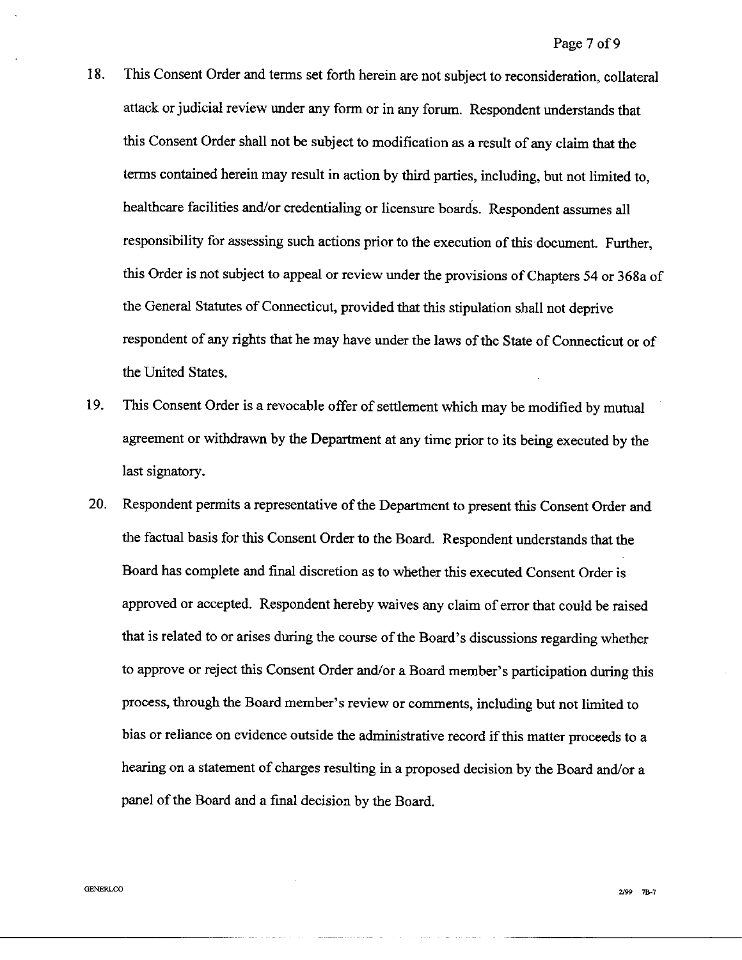- 18. This Consent Order and terms set forth herein are not subject to reconsideration, collateral attack or judicial review under any form or in any forum. Respondent understands that this Consent Order shall not be subject to modification as a result of any claim that the terms contained herein may result in action by third parties, including, but not limited to, healthcare facilities and/or credentialing or licensure boards. Respondent assumes all responsibility for assessing such actions prior to the execution of this document. Further, this Order is not subject to appeal or review under the provisions of Chapters 54 or 368a of the General Statutes of Connecticut, provided that this stipulation shall not deprive respondent of any rights that he may have under the laws of the State of Connecticut or of the United States.
- This Consent Order is a revocable offer of settlement which may be modified by mutual 19. agreement or withdrawn by the Department at any time prior to its being executed by the last signatory.
- Respondent permits a representative of the Department to present this Consent Order and **20.** the factual basis for this Consent Order to the Board. Respondent understands that the Board has complete and final discretion as to whether this executed Consent Order is approved or accepted. Respondent hereby waives any claim of error that could be raised that is related to or arises during the course of the Board's discussions regarding whether to approve or reject this Consent Order and/or a Board member's participation during this process, through the Board member's review or comments, including but not limited to bias or reliance on evidence outside the administrative record if this matter proceeds to a hearing on a statement of charges resulting in a proposed decision by the Board and/or a panel of the Board and a final decision by the Board.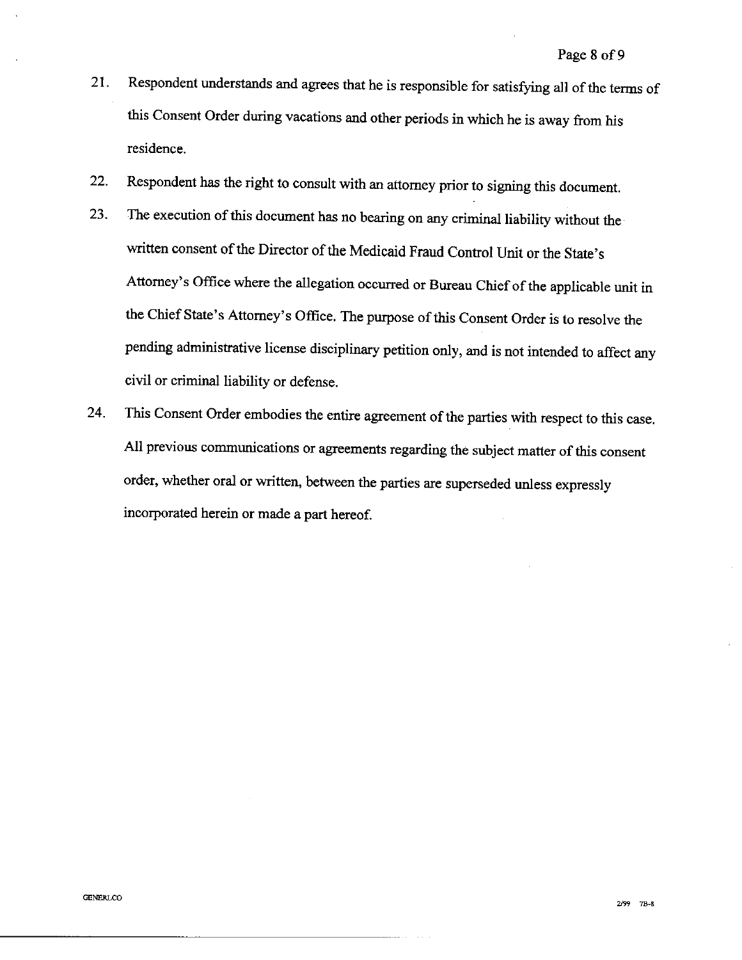- Respondent understands and agrees that he is responsible for satisfying all of the terms of 21. this Consent Order during vacations and other periods in which he is away from his residence.
- Respondent has the right to consult with an attorney prior to signing this document. 22.
- The execution of this document has no bearing on any criminal liability without the 23. written consent of the Director of the Medicaid Fraud Control Unit or the State's Attorney's Office where the allegation occurred or Bureau Chief of the applicable unit in the Chief State's Attorney's Office. The purpose of this Consent Order is to resolve the pending administrative license disciplinary petition only, and is not intended to affect any civil or criminal liability or defense.
- This Consent Order embodies the entire agreement of the parties with respect to this case. 24. All previous communications or agreements regarding the subject matter of this consent order, whether oral or written, between the parties are superseded unless expressly incorporated herein or made a part hereof.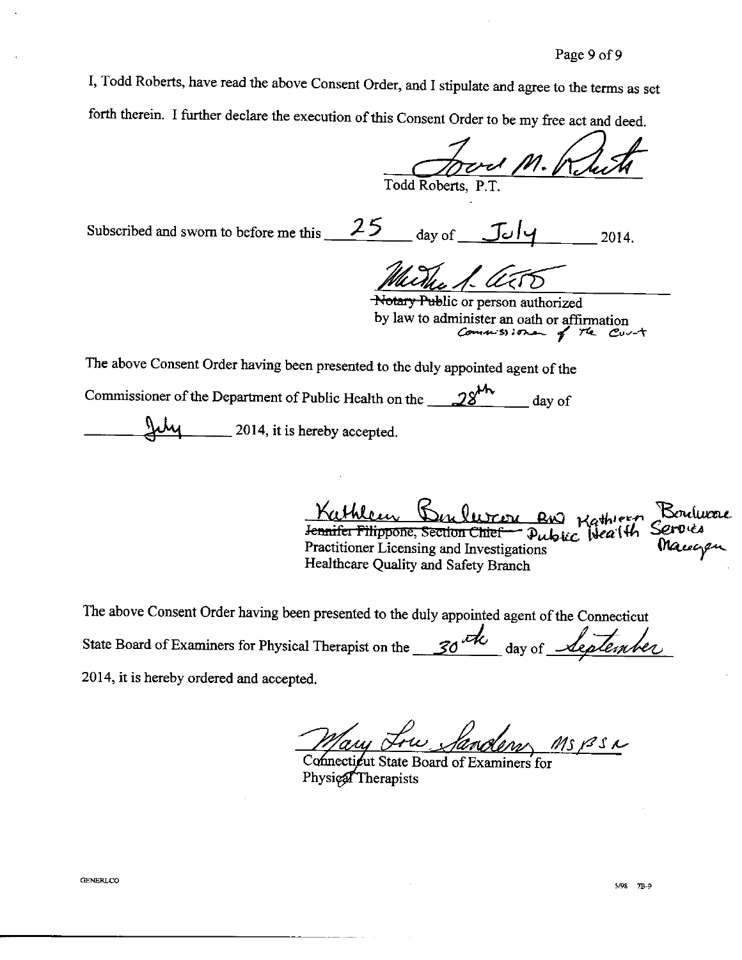I, Todd Roberts, have read the above Consent Order, and I stipulate and agree to the terms as set forth therein. I further declare the execution of this Consent Order to be my free act and deed.

Todd Roberts, P.T.

Subscribed and sworn to before me this 25 day of  $JJ\rightarrow$ 2014.

Notary Public or person authorized by law to administer an oath or affirmation<br>Commission of the Curt

The above Consent Order having been presented to the duly appointed agent of the

Commissioner of the Department of Public Health on the  $28^{1/2}$  day of

2014, it is hereby accepted.

Kathleen Benluron and Kathleen Boulucae<br>Jennifer Filippone, Section Chief - Public Health Service Practitioner Licensing and Investigations Healthcare Quality and Safety Branch

The above Consent Order having been presented to the duly appointed agent of the Connecticut State Board of Examiners for Physical Therapist on the 30th day of *Replenber* 2014, it is hereby ordered and accepted.

 $MSPSL$ 

Connectieut State Board of Examiners for Physical Therapists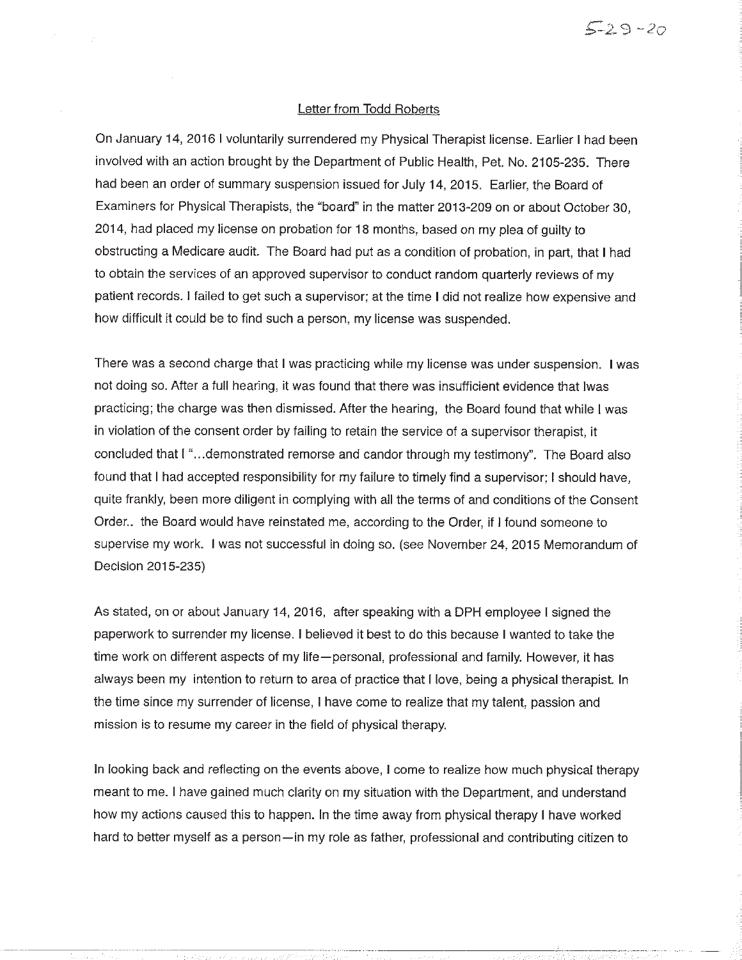## Letter from Todd Roberts

 $529 - 20$ 

On January 14, 2016 I voluntarily surrendered my Physical Therapist license. Earlier I had been involved with an action brought by the Department of Public Health, Pet, No. 2105-235. There had been an order of summary suspension issued for July 14, 2015. Earlier, the Board of Examiners for Physical Therapists, the "board" in the matter 2013-209 on or about October 30, 2014, had placed my license on probation for 18 months, based on my plea of guilty to obstructing a Medicare audit. The Board had put as a condition of probation, in part, that I had to obtain the services of an approved supervisor to conduct random quarterly reviews of my patient records. I failed to get such a supervisor; at the time I did not realize how expensive and how difficult it could be to find such a person, my license was suspended.

There was a second charge that I was practicing while my license was under suspension. I was not doing so. After a full hearing, it was found that there was insufficient evidence that lwas practicing; the charge was then dismissed. After the hearing, the Board found that while I was in violation of the consent order by failing to retain the service of a supervisor therapist, it concluded that I "...demonstrated remorse and candor through my testimony". The Board also found that I had accepted responsibility for my failure to timely find a supervisor; I should have, quite frankly, been more diligent in complying with all the terms of and conditions of the Consent Order... the Board would have reinstated me, according to the Order, if I found someone to supervise my work. I was not successful in doing so. (see November 24, 2015 Memorandum of Decision 2015-235)

As stated, on or about January 14, 2016, after speaking with a DPH employee I signed the paperwork to surrender my license. I believed it best to do this because I wanted to take the time work on different aspects of my life—personal, professional and family. However, it has always been my intention to return to area of practice that I love, being a physical therapist. In the time since my surrender of license, I have come to realize that my talent, passion and mission is to resume my career in the field of physical therapy.

In looking back and reflecting on the events above, I come to realize how much physical therapy meant to me. I have gained much clarity on my situation with the Department, and understand how my actions caused this to happen. In the time away from physical therapy I have worked hard to better myself as a person—in my role as father, professional and contributing citizen to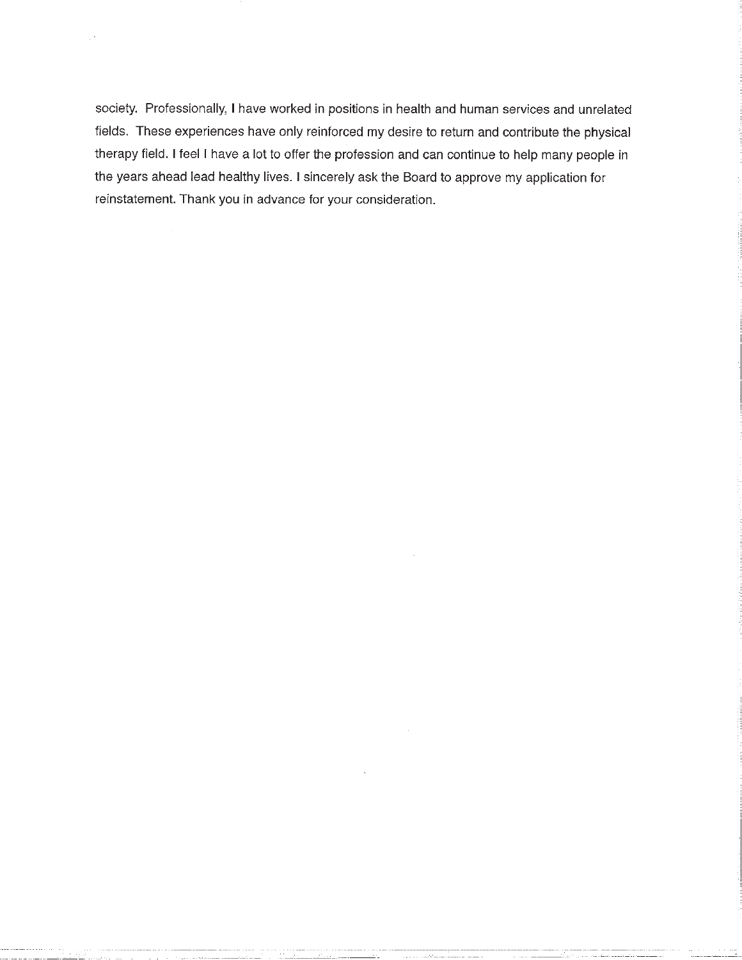society. Professionally, I have worked in positions in health and human services and unrelated fields. These experiences have only reinforced my desire to return and contribute the physical therapy field. I feel I have a lot to offer the profession and can continue to help many people in the years ahead lead healthy lives. I sincerely ask the Board to approve my application for reinstatement. Thank you in advance for your consideration.

 $\cdot$